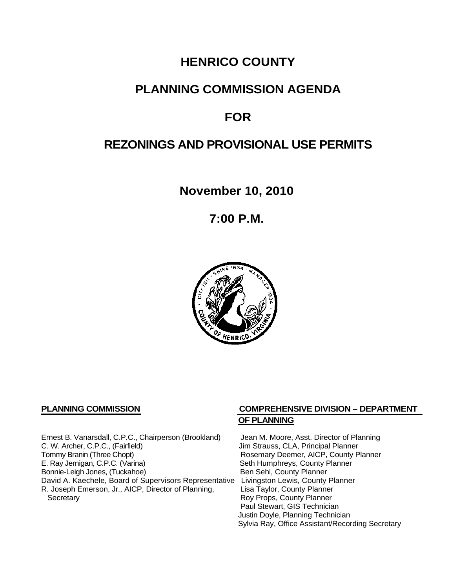# **HENRICO COUNTY**

## **PLANNING COMMISSION AGENDA**

## **FOR**

# **REZONINGS AND PROVISIONAL USE PERMITS**

**November 10, 2010**

**7:00 P.M.**



Ernest B. Vanarsdall, C.P.C., Chairperson (Brookland) Jean M. Moore, Asst. Director of Planning<br>C. W. Archer, C.P.C., (Fairfield) Jim Strauss, CLA, Principal Planner C. W. Archer, C.P.C., (Fairfield) (G. W. Archer, C.P.C., (Fairfield) (G. W. Archer, C.P.C., County P<br>
Tommy Branin (Three Chopt) (G. G. Branin W. Branin W. Rosemary Deemer, AICP, County P E. Ray Jernigan, C.P.C. (Varina) Seth Humphreys, County Planner<br>
Bonnie-Leigh Jones, (Tuckahoe) Sen Sehl, County Planner Bonnie-Leigh Jones, (Tuckahoe) David A. Kaechele, Board of Supervisors Representative Livingston Lewis, County Planner<br>R. Joseph Emerson, Jr., AICP, Director of Planning, Lisa Taylor, County Planner R. Joseph Emerson, Jr., AICP, Director of Planning, Secretary

## **PLANNING COMMISSION COMPREHENSIVE DIVISION – DEPARTMENT OF PLANNING**

Rosemary Deemer, AICP, County Planner Roy Props, County Planner Paul Stewart, GIS Technician Justin Doyle, Planning Technician Sylvia Ray, Office Assistant/Recording Secretary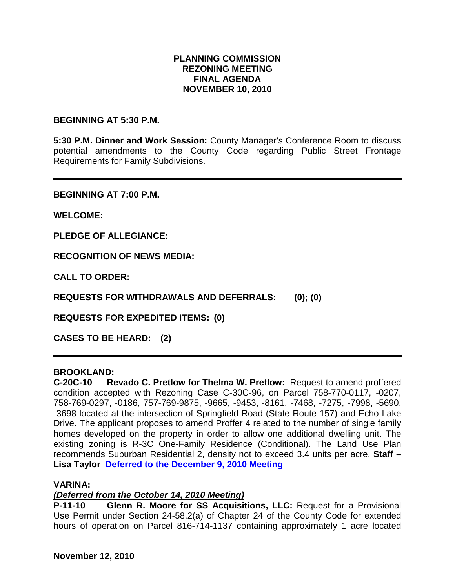### **PLANNING COMMISSION REZONING MEETING FINAL AGENDA NOVEMBER 10, 2010**

#### **BEGINNING AT 5:30 P.M.**

**5:30 P.M. Dinner and Work Session:** County Manager's Conference Room to discuss potential amendments to the County Code regarding Public Street Frontage Requirements for Family Subdivisions.

**BEGINNING AT 7:00 P.M.**

**WELCOME:**

**PLEDGE OF ALLEGIANCE:**

**RECOGNITION OF NEWS MEDIA:**

**CALL TO ORDER:**

**REQUESTS FOR WITHDRAWALS AND DEFERRALS: (0); (0)**

**REQUESTS FOR EXPEDITED ITEMS: (0)**

**CASES TO BE HEARD: (2)**

#### **BROOKLAND:**

**C-20C-10 Revado C. Pretlow for Thelma W. Pretlow:** Request to amend proffered condition accepted with Rezoning Case C-30C-96, on Parcel 758-770-0117, -0207, 758-769-0297, -0186, 757-769-9875, -9665, -9453, -8161, -7468, -7275, -7998, -5690, -3698 located at the intersection of Springfield Road (State Route 157) and Echo Lake Drive. The applicant proposes to amend Proffer 4 related to the number of single family homes developed on the property in order to allow one additional dwelling unit. The existing zoning is R-3C One-Family Residence (Conditional). The Land Use Plan recommends Suburban Residential 2, density not to exceed 3.4 units per acre. **Staff – Lisa Taylor Deferred to the December 9, 2010 Meeting**

#### **VARINA:**

#### *(Deferred from the October 14, 2010 Meeting)*

**P-11-10 Glenn R. Moore for SS Acquisitions, LLC:** Request for a Provisional Use Permit under Section 24-58.2(a) of Chapter 24 of the County Code for extended hours of operation on Parcel 816-714-1137 containing approximately 1 acre located